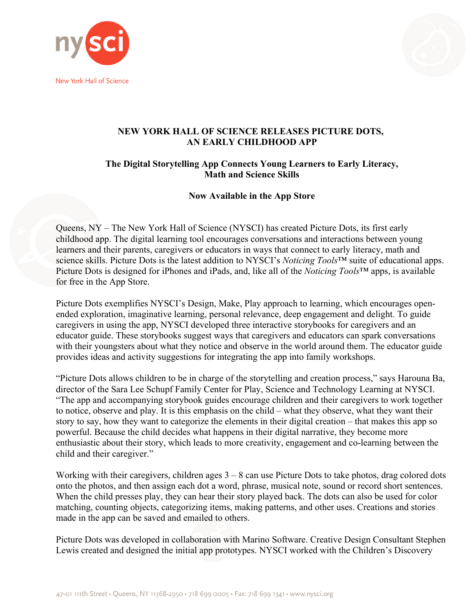



## **NEW YORK HALL OF SCIENCE RELEASES PICTURE DOTS, AN EARLY CHILDHOOD APP**

## **The Digital Storytelling App Connects Young Learners to Early Literacy, Math and Science Skills**

## **Now Available in the App Store**

Queens, NY – The New York Hall of Science (NYSCI) has created Picture Dots, its first early childhood app. The digital learning tool encourages conversations and interactions between young learners and their parents, caregivers or educators in ways that connect to early literacy, math and science skills. Picture Dots is the latest addition to NYSCI's *Noticing Tools*™ suite of educational apps. Picture Dots is designed for iPhones and iPads, and, like all of the *Noticing Tools*™ apps, is available for free in the App Store.

Picture Dots exemplifies NYSCI's Design, Make, Play approach to learning, which encourages openended exploration, imaginative learning, personal relevance, deep engagement and delight. To guide caregivers in using the app, NYSCI developed three interactive storybooks for caregivers and an educator guide. These storybooks suggest ways that caregivers and educators can spark conversations with their youngsters about what they notice and observe in the world around them. The educator guide provides ideas and activity suggestions for integrating the app into family workshops.

"Picture Dots allows children to be in charge of the storytelling and creation process," says Harouna Ba, director of the Sara Lee Schupf Family Center for Play, Science and Technology Learning at NYSCI. "The app and accompanying storybook guides encourage children and their caregivers to work together to notice, observe and play. It is this emphasis on the child – what they observe, what they want their story to say, how they want to categorize the elements in their digital creation – that makes this app so powerful. Because the child decides what happens in their digital narrative, they become more enthusiastic about their story, which leads to more creativity, engagement and co-learning between the child and their caregiver."

Working with their caregivers, children ages  $3 - 8$  can use Picture Dots to take photos, drag colored dots onto the photos, and then assign each dot a word, phrase, musical note, sound or record short sentences. When the child presses play, they can hear their story played back. The dots can also be used for color matching, counting objects, categorizing items, making patterns, and other uses. Creations and stories made in the app can be saved and emailed to others.

Picture Dots was developed in collaboration with Marino Software. Creative Design Consultant Stephen Lewis created and designed the initial app prototypes. NYSCI worked with the Children's Discovery